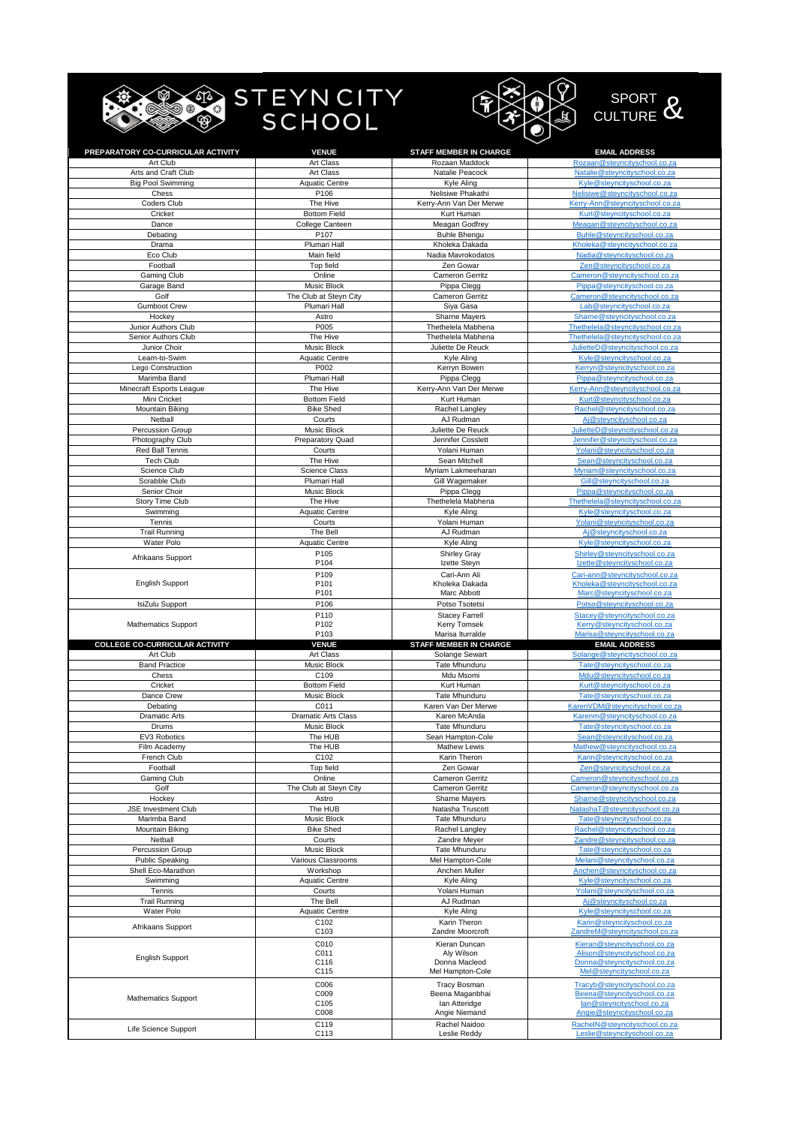|                                     | ∣ STEYN CITY<br>SCHOOL               |                                              | SPORT O<br><b>CULTURE</b>                                            |
|-------------------------------------|--------------------------------------|----------------------------------------------|----------------------------------------------------------------------|
| PREPARATORY CO-CURRICULAR ACTIVITY  | <b>VENUE</b>                         | <b>STAFF MEMBER IN CHARGE</b>                | <b>EMAIL ADDRESS</b>                                                 |
| Art Club                            | Art Class                            | Rozaan Maddock                               | Rozaan@steyncityschool.co.za                                         |
| Arts and Craft Club                 | Art Class                            | Natalie Peacock                              | Natalie@steyncityschool.co.za                                        |
| <b>Big Pool Swimming</b>            | <b>Aquatic Centre</b>                | Kyle Aling                                   | Kyle@steyncityschool.co.za                                           |
| Chess                               | P106                                 | Nelisiwe Phakathi                            | Nelisiwe@steyncityschool.co.za                                       |
| Coders Club                         | The Hive                             | Kerry-Ann Van Der Merwe                      | Kerry-Ann@steyncityschool.co.za                                      |
| Cricket                             | <b>Bottom Field</b>                  | Kurt Human                                   | Kurt@steyncityschool.co.za                                           |
| Dance                               | College Canteen                      | Meagan Godfrey<br><b>Buhle Bhenau</b>        | Meagan@steyncityschool.co.za                                         |
| Debating<br>Drama                   | P <sub>107</sub><br>Plumari Hall     | Kholeka Dakada                               | Buhle@steyncityschool.co.za<br>Kholeka@stevncityschool.co.za         |
| Eco Club                            | Main field                           | Nadia Mavrokodatos                           | Nadia@steyncityschool.co.za                                          |
| Football                            | Top field                            | Zen Gowar                                    | Zen@steyncityschool.co.za                                            |
| Gaming Club                         | Online                               | Cameron Gerritz                              | Cameron@steyncityschool.co.za                                        |
| Garage Band                         | Music Block                          | Pippa Clegg                                  | Pippa@steyncityschool.co.za                                          |
| Golf                                | The Club at Steyn City               | <b>Cameron Gerritz</b>                       | Cameron@steyncityschool.co.za                                        |
| <b>Gumboot Crew</b>                 | Plumari Hall                         | Siya Gasa                                    | Lab@steyncityschool.co.za                                            |
| Hockey                              | Astro                                | <b>Sharne Mayers</b>                         | Sharne@steyncityschool.co.za                                         |
| Junior Authors Club                 | P005                                 | Thethelela Mabhena                           | Thethelela@steyncityschool.co.za<br>Thethelela@stevncityschool.co.za |
| Senior Authors Club<br>Junior Choir | The Hive<br>Music Block              | Thethelela Mabhena<br>Juliette De Reuck      | JulietteD@steyncityschool.co.za                                      |
| Learn-to-Swim                       | <b>Aquatic Centre</b>                | Kyle Aling                                   | Kyle@steyncityschool.co.za                                           |
| Lego Construction                   | P002                                 | Kerryn Bowen                                 | Kerryn@steyncityschool.co.za                                         |
| Marimba Band                        | Plumari Hall                         | Pippa Clegg                                  | Pippa@steyncityschool.co.za                                          |
| Minecraft Esports League            | The Hive                             | Kerry-Ann Van Der Merwe                      | Kerry-Ann@steyncityschool.co.za                                      |
| Mini Cricket                        | <b>Bottom Field</b>                  | Kurt Human                                   | Kurt@steyncityschool.co.za                                           |
| Mountain Biking                     | <b>Bike Shed</b>                     | Rachel Langley                               | Rachel@steyncityschool.co.za                                         |
| Netball                             | Courts                               | AJ Rudman                                    | Aj@steyncityschool.co.za                                             |
| Percussion Group                    | Music Block                          | Juliette De Reuck                            | JulietteD@steyncityschool.co.za                                      |
| Photography Club                    | <b>Preparatory Quad</b>              | Jennifer Cosslett                            | Jennifer@steyncityschool.co.za                                       |
| Red Ball Tennis<br><b>Tech Club</b> | Courts<br>The Hive                   | Yolani Human<br>Sean Mitchell                | Yolani@steyncityschool.co.za                                         |
| Science Club                        | Science Class                        | Myriam Lakmeeharan                           | Sean@steyncityschool.co.za<br>Myriam@steyncityschool.co.za           |
| Scrabble Club                       | Plumari Hall                         | Gill Wagemaker                               | Gill@steyncityschool.co.za                                           |
| Senior Choir                        | Music Block                          | Pippa Clegg                                  | Pippa@steyncityschool.co.za                                          |
| Story Time Club                     | The Hive                             | Thethelela Mabhena                           | Thethelela@steyncityschool.co.za                                     |
| Swimming                            | <b>Aquatic Centre</b>                | Kyle Aling                                   | Kyle@steyncityschool.co.za                                           |
| Tennis                              | Courts                               | Yolani Human                                 | Yolani@steyncityschool.co.za                                         |
| <b>Trail Running</b>                | The Bell                             | AJ Rudman                                    | Aj@steyncityschool.co.za                                             |
| Water Polo                          | <b>Aquatic Centre</b>                | Kyle Aling                                   | Kyle@steyncityschool.co.za                                           |
| Afrikaans Support                   | P <sub>105</sub>                     | <b>Shirley Gray</b>                          | Shirley@steyncityschool.co.za                                        |
|                                     | P104                                 | Izette Steyn                                 | Izette@steyncityschool.co.za                                         |
| <b>English Support</b>              | P <sub>109</sub><br>P <sub>101</sub> | Cari-Ann Ali<br>Kholeka Dakada               | Cari-ann@steyncityschool.co.za<br>Kholeka@steyncityschool.co.za      |
|                                     | P101                                 | Marc Abbott                                  | Marc@steyncityschool.co.za                                           |
| IsiZulu Support                     | P106                                 | Potso Tsotetsi                               | Potso@steyncityschool.co.za                                          |
|                                     |                                      |                                              |                                                                      |
|                                     |                                      |                                              |                                                                      |
| <b>Mathematics Support</b>          | P110<br>P102                         | <b>Stacey Farrell</b><br><b>Kerry Tomsek</b> | Stacey@steyncityschool.co.za<br>Kerry@steyncityschool.co.za          |
|                                     | P103                                 | Marisa Iturralde                             | Marisa@steyncityschool.co.za                                         |
| COLLEGE CO-CURRICULAR ACTIVITY      | <b>VENUE</b>                         | STAFF MEMBER IN CHARGE                       | <b>EMAIL ADDRESS</b>                                                 |
| Art Club                            | Art Class                            | Solange Sewart                               | Solange@steyncityschool.co.za                                        |
| <b>Band Practice</b>                | Music Block                          | Tate Mhunduru                                | Tate@steyncityschool.co.za                                           |
| Chess                               | C109                                 | Mdu Msomi                                    | <u> Mdu@steyncityschooi.co.za</u>                                    |
| Cricket                             | <b>Bottom Field</b>                  | Kurt Human                                   | Kurt@steyncityschool.co.za                                           |
| Dance Crew                          | Music Block<br>C011                  | Tate Mhunduru                                | Tate@steyncityschool.co.za<br>KarenVDM@steyncityschool.co.za         |
| Debating<br><b>Dramatic Arts</b>    | Dramatic Arts Class                  | Karen Van Der Merwe<br>Karen McAnda          | Karenm@steyncityschool.co.za                                         |
| Drums                               | Music Block                          | Tate Mhunduru                                | Tate@steyncityschool.co.za                                           |
| EV3 Robotics                        | The HUB                              | Sean Hampton-Cole                            | Sean@steyncityschool.co.za                                           |
| Film Academy                        | The HUB                              | Mathew Lewis                                 | Mathew@steyncityschool.co.za                                         |
| French Club                         | C102                                 | Karin Theron                                 | Karin@steyncityschool.co.za                                          |
| Football                            | Top field                            | Zen Gowar                                    | Zen@steyncityschool.co.za                                            |
| Gaming Club                         | Online                               | Cameron Gerritz                              | Cameron@steyncityschool.co.za                                        |
| Golf                                | The Club at Steyn City               | Cameron Gerritz                              | Cameron@steyncityschool.co.za                                        |
| Hockey                              | Astro                                | Sharne Mayers                                | Sharne@steyncityschool.co.za                                         |
| JSE Investment Club                 | The HUB                              | Natasha Truscott                             | NatashaT@steyncityschool.co.za                                       |
| Marimba Band<br>Mountain Biking     | Music Block<br><b>Bike Shed</b>      | Tate Mhunduru<br>Rachel Langley              | Tate@steyncityschool.co.za<br>Rachel@steyncityschool.co.za           |
| Netball                             | Courts                               | Zandre Meyer                                 | Zandre@steyncityschool.co.za                                         |
| Percussion Group                    | Music Block                          | Tate Mhunduru                                | Tate@steyncityschool.co.za                                           |
| <b>Public Speaking</b>              | Various Classrooms                   | Mel Hampton-Cole                             | Melani@steyncityschool.co.za                                         |
| Shell Eco-Marathon                  | Workshop                             | Anchen Muller                                | Anchen@steyncityschool.co.za                                         |
| Swimming                            | <b>Aquatic Centre</b>                | Kyle Aling                                   | Kyle@steyncityschool.co.za                                           |
| Tennis                              | Courts                               | Yolani Human                                 | Yolani@steyncityschool.co.za                                         |
| <b>Trail Running</b>                | The Bell                             | AJ Rudman                                    | Aj@steyncityschool.co.za                                             |
| Water Polo                          | <b>Aquatic Centre</b>                | Kyle Aling                                   | Kyle@steyncityschool.co.za                                           |
| Afrikaans Support                   | C102<br>C103                         | Karin Theron<br>Zandre Moorcroft             | Karin@steyncityschool.co.za                                          |
|                                     | C010                                 |                                              | ZandreM@steyncityschool.co.za                                        |
|                                     | C011                                 | Kieran Duncan<br>Aly Wilson                  | Kieran@steyncityschool.co.za<br>Alison@steyncityschool.co.za         |
| <b>English Support</b>              | C116                                 | Donna Macleod                                | Donna@steyncityschool.co.za                                          |
|                                     | C115                                 | Mel Hampton-Cole                             | Mel@steyncityschool.co.za                                            |
|                                     | C006                                 | <b>Tracy Bosman</b>                          | Tracyb@steyncityschool.co.za                                         |
| <b>Mathematics Support</b>          | C009                                 | Beena Maganbhai                              | Beena@steyncityschool.co.za                                          |
|                                     | C105                                 | lan Atteridge                                | lan@steyncityschool.co.za                                            |
| Life Science Support                | C008<br>C119                         | Angie Niemand<br>Rachel Naidoo               | Angie@steyncityschool.co.za<br>RachelN@steyncityschool.co.za         |